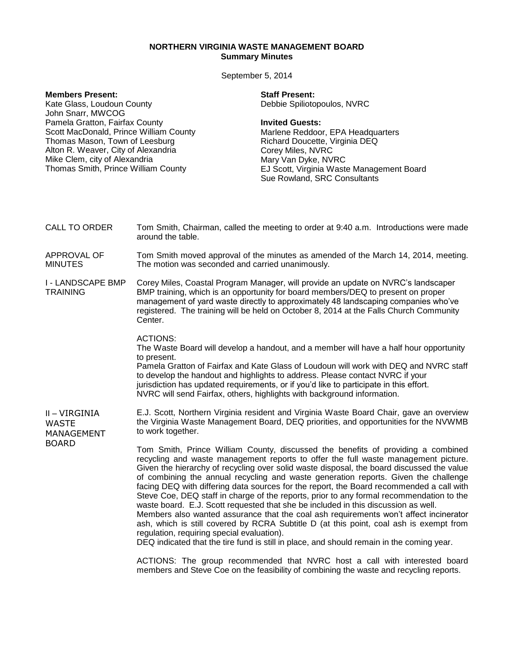# **NORTHERN VIRGINIA WASTE MANAGEMENT BOARD Summary Minutes**

September 5, 2014

| <b>Members Present:</b><br>Kate Glass, Loudoun County<br>John Snarr, MWCOG<br>Pamela Gratton, Fairfax County<br>Scott MacDonald, Prince William County<br>Thomas Mason, Town of Leesburg<br>Alton R. Weaver, City of Alexandria<br>Mike Clem, city of Alexandria<br>Thomas Smith, Prince William County |                                                                                                                                                                                                                                                                                                                                                                  | <b>Staff Present:</b><br>Debbie Spiliotopoulos, NVRC<br><b>Invited Guests:</b><br>Marlene Reddoor, EPA Headquarters<br>Richard Doucette, Virginia DEQ<br>Corey Miles, NVRC<br>Mary Van Dyke, NVRC<br>EJ Scott, Virginia Waste Management Board<br>Sue Rowland, SRC Consultants                                                                                                                                                                                                                                                                                                                                                                                                                                                                                                                                                                                                                                           |
|---------------------------------------------------------------------------------------------------------------------------------------------------------------------------------------------------------------------------------------------------------------------------------------------------------|------------------------------------------------------------------------------------------------------------------------------------------------------------------------------------------------------------------------------------------------------------------------------------------------------------------------------------------------------------------|--------------------------------------------------------------------------------------------------------------------------------------------------------------------------------------------------------------------------------------------------------------------------------------------------------------------------------------------------------------------------------------------------------------------------------------------------------------------------------------------------------------------------------------------------------------------------------------------------------------------------------------------------------------------------------------------------------------------------------------------------------------------------------------------------------------------------------------------------------------------------------------------------------------------------|
| <b>CALL TO ORDER</b>                                                                                                                                                                                                                                                                                    | Tom Smith, Chairman, called the meeting to order at 9:40 a.m. Introductions were made<br>around the table.                                                                                                                                                                                                                                                       |                                                                                                                                                                                                                                                                                                                                                                                                                                                                                                                                                                                                                                                                                                                                                                                                                                                                                                                          |
| APPROVAL OF<br><b>MINUTES</b>                                                                                                                                                                                                                                                                           | Tom Smith moved approval of the minutes as amended of the March 14, 2014, meeting.<br>The motion was seconded and carried unanimously.                                                                                                                                                                                                                           |                                                                                                                                                                                                                                                                                                                                                                                                                                                                                                                                                                                                                                                                                                                                                                                                                                                                                                                          |
| I - LANDSCAPE BMP<br><b>TRAINING</b>                                                                                                                                                                                                                                                                    | Corey Miles, Coastal Program Manager, will provide an update on NVRC's landscaper<br>BMP training, which is an opportunity for board members/DEQ to present on proper<br>management of yard waste directly to approximately 48 landscaping companies who've<br>registered. The training will be held on October 8, 2014 at the Falls Church Community<br>Center. |                                                                                                                                                                                                                                                                                                                                                                                                                                                                                                                                                                                                                                                                                                                                                                                                                                                                                                                          |
|                                                                                                                                                                                                                                                                                                         | <b>ACTIONS:</b><br>to present.                                                                                                                                                                                                                                                                                                                                   | The Waste Board will develop a handout, and a member will have a half hour opportunity<br>Pamela Gratton of Fairfax and Kate Glass of Loudoun will work with DEQ and NVRC staff<br>to develop the handout and highlights to address. Please contact NVRC if your<br>jurisdiction has updated requirements, or if you'd like to participate in this effort.<br>NVRC will send Fairfax, others, highlights with background information.                                                                                                                                                                                                                                                                                                                                                                                                                                                                                    |
| II – VIRGINIA<br><b>WASTE</b><br>MANAGEMENT<br><b>BOARD</b>                                                                                                                                                                                                                                             | to work together.                                                                                                                                                                                                                                                                                                                                                | E.J. Scott, Northern Virginia resident and Virginia Waste Board Chair, gave an overview<br>the Virginia Waste Management Board, DEQ priorities, and opportunities for the NVWMB                                                                                                                                                                                                                                                                                                                                                                                                                                                                                                                                                                                                                                                                                                                                          |
|                                                                                                                                                                                                                                                                                                         | regulation, requiring special evaluation).                                                                                                                                                                                                                                                                                                                       | Tom Smith, Prince William County, discussed the benefits of providing a combined<br>recycling and waste management reports to offer the full waste management picture.<br>Given the hierarchy of recycling over solid waste disposal, the board discussed the value<br>of combining the annual recycling and waste generation reports. Given the challenge<br>facing DEQ with differing data sources for the report, the Board recommended a call with<br>Steve Coe, DEQ staff in charge of the reports, prior to any formal recommendation to the<br>waste board. E.J. Scott requested that she be included in this discussion as well.<br>Members also wanted assurance that the coal ash requirements won't affect incinerator<br>ash, which is still covered by RCRA Subtitle D (at this point, coal ash is exempt from<br>DEQ indicated that the tire fund is still in place, and should remain in the coming year. |
|                                                                                                                                                                                                                                                                                                         |                                                                                                                                                                                                                                                                                                                                                                  | ACTIONS: The group recommended that NVRC host a call with interested board<br>members and Steve Coe on the feasibility of combining the waste and recycling reports.                                                                                                                                                                                                                                                                                                                                                                                                                                                                                                                                                                                                                                                                                                                                                     |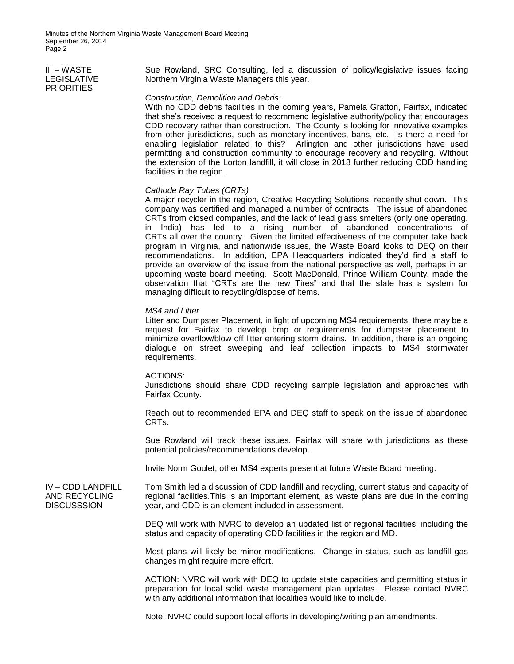Minutes of the Northern Virginia Waste Management Board Meeting September 26, 2014 Page 2

## III – WASTE LEGISLATIVE **PRIORITIES**

Sue Rowland, SRC Consulting, led a discussion of policy/legislative issues facing Northern Virginia Waste Managers this year.

## *Construction, Demolition and Debris:*

With no CDD debris facilities in the coming years, Pamela Gratton, Fairfax, indicated that she's received a request to recommend legislative authority/policy that encourages CDD recovery rather than construction. The County is looking for innovative examples from other jurisdictions, such as monetary incentives, bans, etc. Is there a need for enabling legislation related to this? Arlington and other jurisdictions have used permitting and construction community to encourage recovery and recycling. Without the extension of the Lorton landfill, it will close in 2018 further reducing CDD handling facilities in the region.

### *Cathode Ray Tubes (CRTs)*

A major recycler in the region, Creative Recycling Solutions, recently shut down. This company was certified and managed a number of contracts. The issue of abandoned CRTs from closed companies, and the lack of lead glass smelters (only one operating, in India) has led to a rising number of abandoned concentrations of CRTs all over the country. Given the limited effectiveness of the computer take back program in Virginia, and nationwide issues, the Waste Board looks to DEQ on their recommendations. In addition, EPA Headquarters indicated they'd find a staff to provide an overview of the issue from the national perspective as well, perhaps in an upcoming waste board meeting. Scott MacDonald, Prince William County, made the observation that "CRTs are the new Tires" and that the state has a system for managing difficult to recycling/dispose of items.

#### *MS4 and Litter*

Litter and Dumpster Placement, in light of upcoming MS4 requirements, there may be a request for Fairfax to develop bmp or requirements for dumpster placement to minimize overflow/blow off litter entering storm drains. In addition, there is an ongoing dialogue on street sweeping and leaf collection impacts to MS4 stormwater requirements.

#### ACTIONS:

Jurisdictions should share CDD recycling sample legislation and approaches with Fairfax County.

Reach out to recommended EPA and DEQ staff to speak on the issue of abandoned CRTs.

Sue Rowland will track these issues. Fairfax will share with jurisdictions as these potential policies/recommendations develop.

Invite Norm Goulet, other MS4 experts present at future Waste Board meeting.

IV – CDD LANDFILL AND RECYCLING **DISCUSSSION** 

Tom Smith led a discussion of CDD landfill and recycling, current status and capacity of regional facilities.This is an important element, as waste plans are due in the coming year, and CDD is an element included in assessment.

DEQ will work with NVRC to develop an updated list of regional facilities, including the status and capacity of operating CDD facilities in the region and MD.

Most plans will likely be minor modifications. Change in status, such as landfill gas changes might require more effort.

ACTION: NVRC will work with DEQ to update state capacities and permitting status in preparation for local solid waste management plan updates. Please contact NVRC with any additional information that localities would like to include.

Note: NVRC could support local efforts in developing/writing plan amendments.